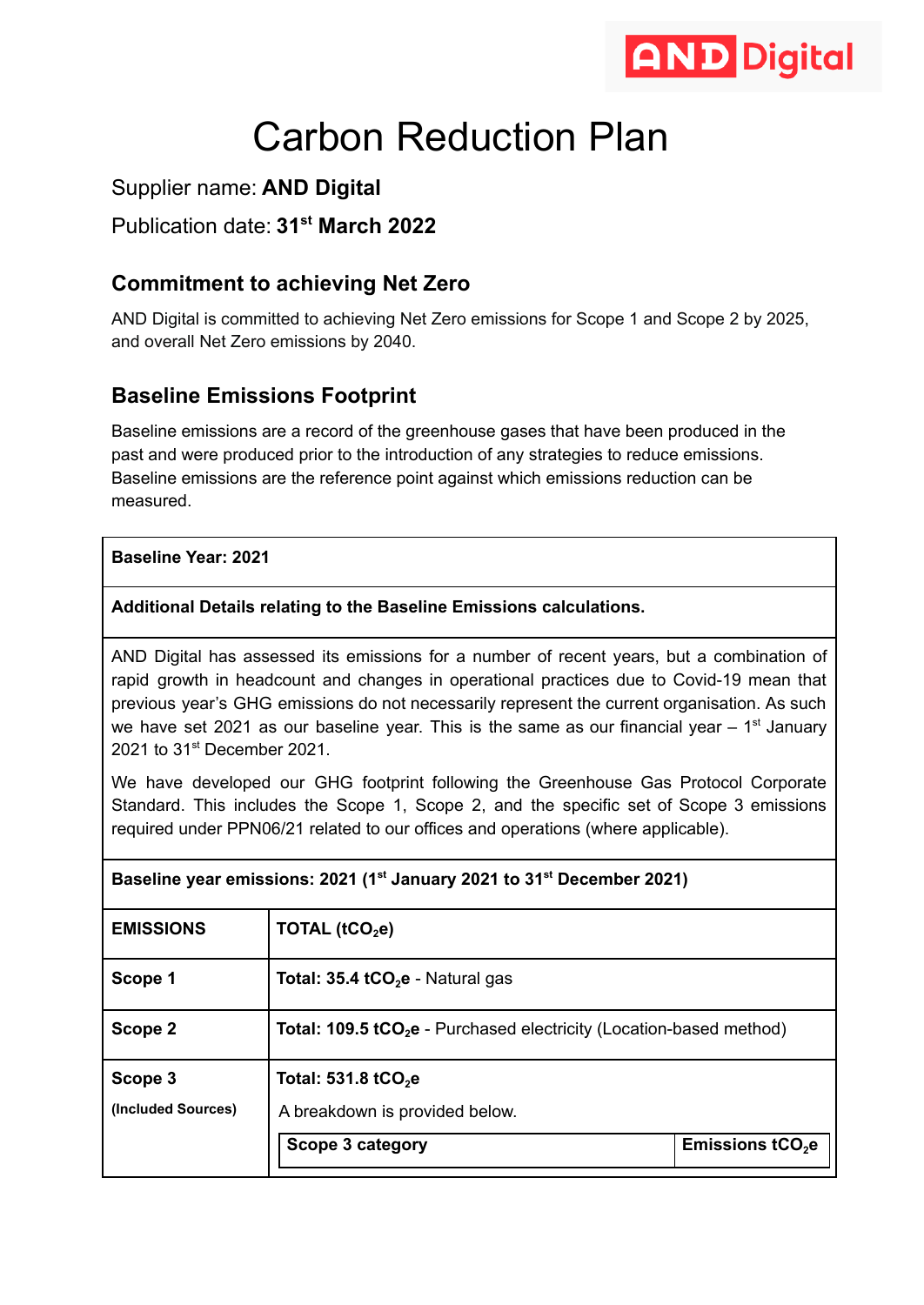

# Carbon Reduction Plan

## Supplier name: **AND Digital**

## Publication date: **31st March 2022**

## **Commitment to achieving Net Zero**

AND Digital is committed to achieving Net Zero emissions for Scope 1 and Scope 2 by 2025, and overall Net Zero emissions by 2040.

## **Baseline Emissions Footprint**

Baseline emissions are a record of the greenhouse gases that have been produced in the past and were produced prior to the introduction of any strategies to reduce emissions. Baseline emissions are the reference point against which emissions reduction can be measured.

#### **Baseline Year: 2021**

#### **Additional Details relating to the Baseline Emissions calculations.**

AND Digital has assessed its emissions for a number of recent years, but a combination of rapid growth in headcount and changes in operational practices due to Covid-19 mean that previous year's GHG emissions do not necessarily represent the current organisation. As such we have set 2021 as our baseline year. This is the same as our financial year  $-1<sup>st</sup>$  January 2021 to 31<sup>st</sup> December 2021.

We have developed our GHG footprint following the Greenhouse Gas Protocol Corporate Standard. This includes the Scope 1, Scope 2, and the specific set of Scope 3 emissions required under PPN06/21 related to our offices and operations (where applicable).

| Baseline year emissions: 2021 (1° January 2021 to 31° December 2021) |                                                                                 |                   |  |  |
|----------------------------------------------------------------------|---------------------------------------------------------------------------------|-------------------|--|--|
| <b>EMISSIONS</b>                                                     | TOTAL $(tCO2e)$                                                                 |                   |  |  |
| Scope 1                                                              | Total: $35.4$ tCO <sub>2</sub> e - Natural gas                                  |                   |  |  |
| Scope 2                                                              | Total: 109.5 tCO <sub>2</sub> e - Purchased electricity (Location-based method) |                   |  |  |
| Scope 3                                                              | Total: 531.8 tCO <sub>2</sub> e                                                 |                   |  |  |
| (Included Sources)                                                   | A breakdown is provided below.                                                  |                   |  |  |
|                                                                      | Scope 3 category                                                                | Emissions $tCO2e$ |  |  |

## **Baseline year emissions: 2021 (1st January 2021 to 31st December 2021)**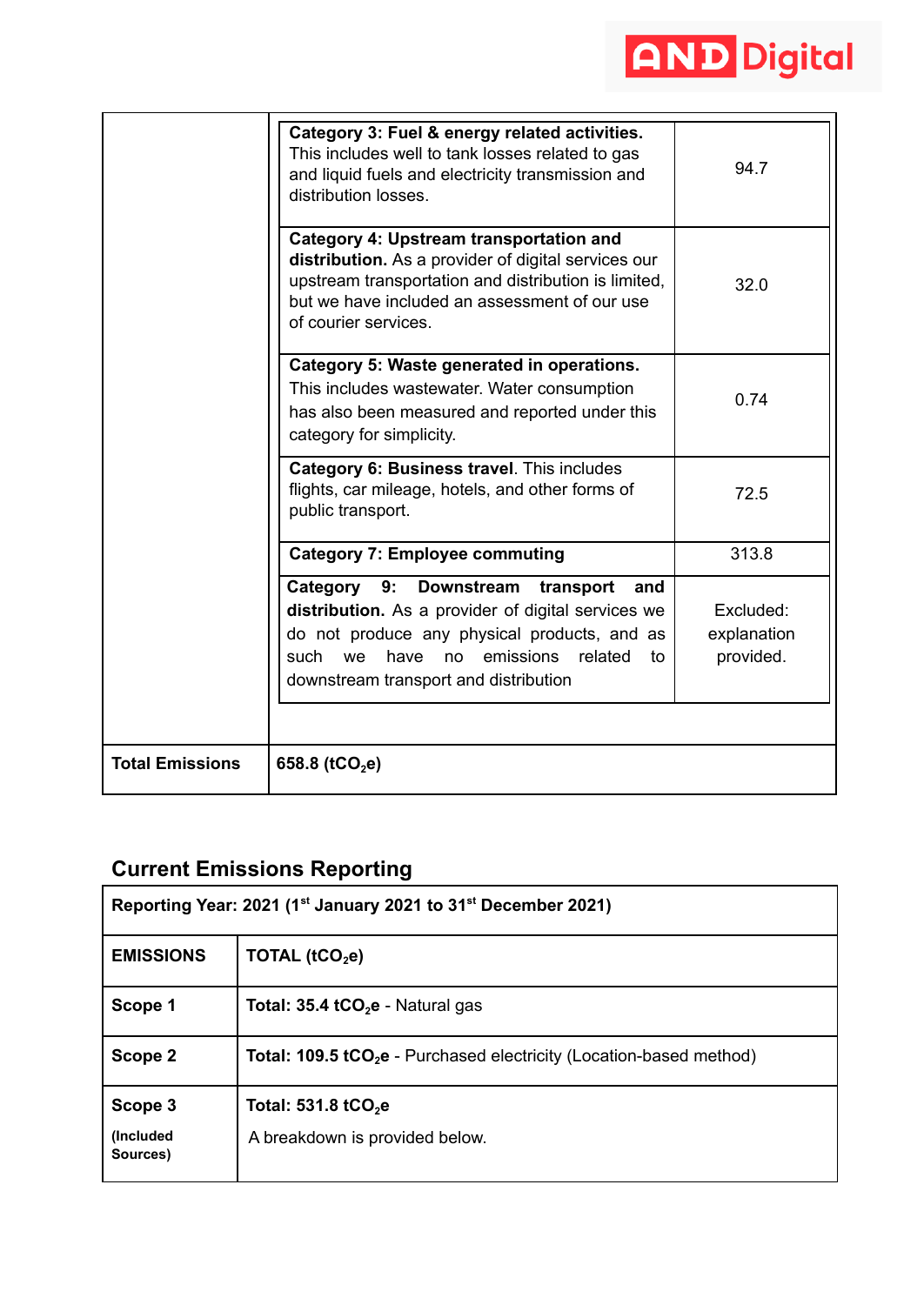

|                        | Category 3: Fuel & energy related activities.<br>This includes well to tank losses related to gas<br>and liquid fuels and electricity transmission and<br>distribution losses.                                                                           | 94.7                                  |
|------------------------|----------------------------------------------------------------------------------------------------------------------------------------------------------------------------------------------------------------------------------------------------------|---------------------------------------|
|                        | <b>Category 4: Upstream transportation and</b><br>distribution. As a provider of digital services our<br>upstream transportation and distribution is limited,<br>but we have included an assessment of our use<br>of courier services.                   | 32.0                                  |
|                        | Category 5: Waste generated in operations.<br>This includes wastewater. Water consumption<br>has also been measured and reported under this<br>category for simplicity.                                                                                  | 0.74                                  |
|                        | Category 6: Business travel. This includes<br>flights, car mileage, hotels, and other forms of<br>public transport.                                                                                                                                      | 72.5                                  |
|                        | <b>Category 7: Employee commuting</b>                                                                                                                                                                                                                    | 313.8                                 |
|                        | 9:<br>Category<br>Downstream transport<br>and<br>distribution. As a provider of digital services we<br>do not produce any physical products, and as<br>such<br>emissions<br>related<br>we<br>have<br>no l<br>to<br>downstream transport and distribution | Excluded:<br>explanation<br>provided. |
| <b>Total Emissions</b> | 658.8 ( $tCO2e$ )                                                                                                                                                                                                                                        |                                       |

## **Current Emissions Reporting**

| Reporting Year: 2021 (1 <sup>st</sup> January 2021 to 31 <sup>st</sup> December 2021) |                                                                                 |  |  |  |
|---------------------------------------------------------------------------------------|---------------------------------------------------------------------------------|--|--|--|
| <b>EMISSIONS</b>                                                                      | TOTAL ( $tCO2e$ )                                                               |  |  |  |
| Scope 1                                                                               | <b>Total: 35.4 tCO<sub>2</sub>e</b> - Natural gas                               |  |  |  |
| Scope 2                                                                               | Total: 109.5 tCO <sub>2</sub> e - Purchased electricity (Location-based method) |  |  |  |
| Scope 3                                                                               | Total: $531.8$ tCO <sub>2</sub> e                                               |  |  |  |
| (Included<br>Sources)                                                                 | A breakdown is provided below.                                                  |  |  |  |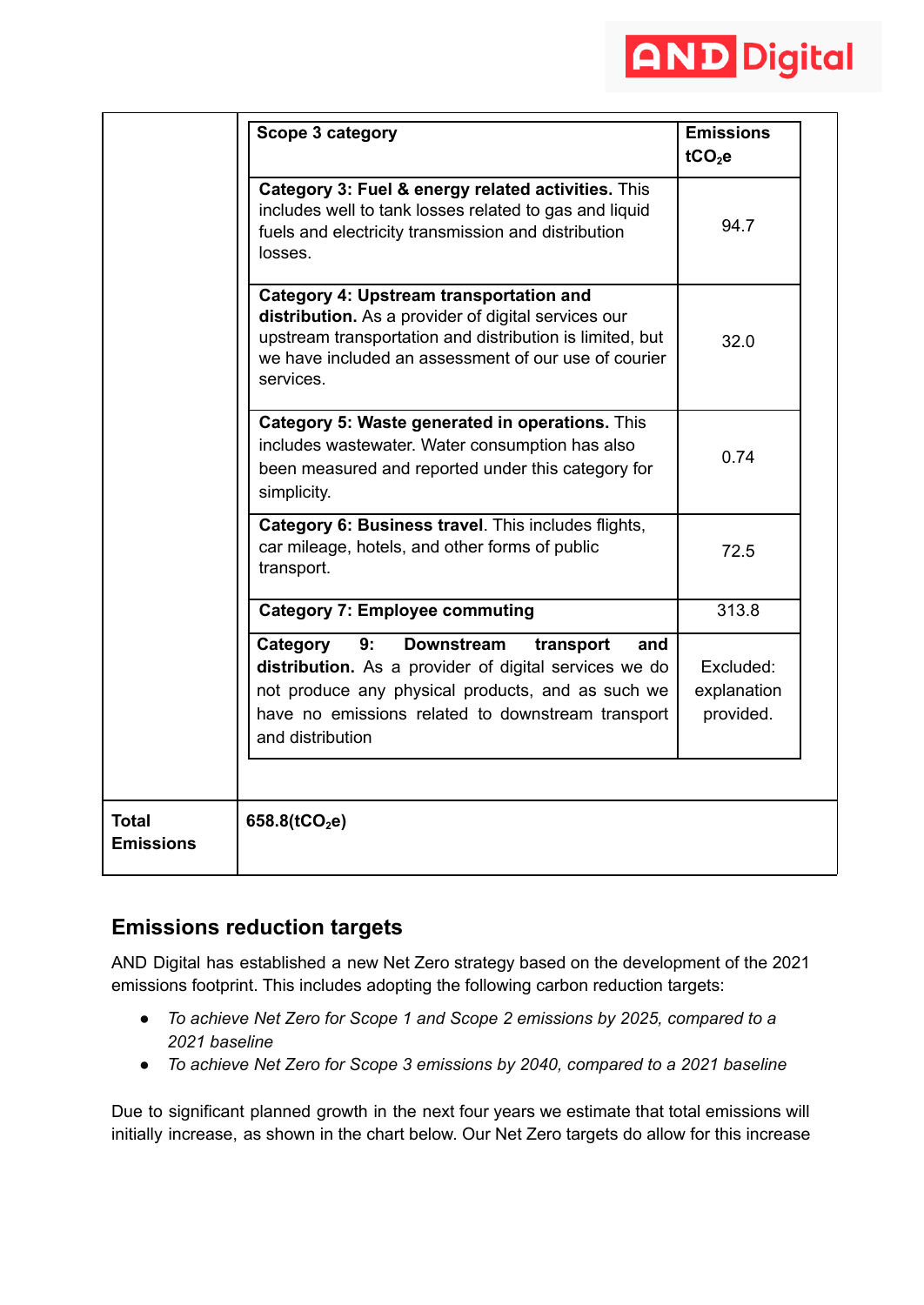

|                                  | Scope 3 category                                                                                                                                                                                                                               | <b>Emissions</b><br>$tCO2$ e          |
|----------------------------------|------------------------------------------------------------------------------------------------------------------------------------------------------------------------------------------------------------------------------------------------|---------------------------------------|
|                                  | Category 3: Fuel & energy related activities. This<br>includes well to tank losses related to gas and liquid<br>fuels and electricity transmission and distribution<br>losses.                                                                 | 94.7                                  |
|                                  | <b>Category 4: Upstream transportation and</b><br>distribution. As a provider of digital services our<br>upstream transportation and distribution is limited, but<br>we have included an assessment of our use of courier<br>services.         | 32.0                                  |
|                                  | Category 5: Waste generated in operations. This<br>includes wastewater. Water consumption has also<br>been measured and reported under this category for<br>simplicity.                                                                        | 0.74                                  |
|                                  | Category 6: Business travel. This includes flights,<br>car mileage, hotels, and other forms of public<br>transport.                                                                                                                            | 72.5                                  |
|                                  | <b>Category 7: Employee commuting</b>                                                                                                                                                                                                          | 313.8                                 |
|                                  | Category<br>9:<br><b>Downstream</b><br>transport<br>and<br>distribution. As a provider of digital services we do<br>not produce any physical products, and as such we<br>have no emissions related to downstream transport<br>and distribution | Excluded:<br>explanation<br>provided. |
| <b>Total</b><br><b>Emissions</b> | 658.8( $tCO2e$ )                                                                                                                                                                                                                               |                                       |

## **Emissions reduction targets**

AND Digital has established a new Net Zero strategy based on the development of the 2021 emissions footprint. This includes adopting the following carbon reduction targets:

- *● To achieve Net Zero for Scope 1 and Scope 2 emissions by 2025, compared to a 2021 baseline*
- *● To achieve Net Zero for Scope 3 emissions by 2040, compared to a 2021 baseline*

Due to significant planned growth in the next four years we estimate that total emissions will initially increase, as shown in the chart below. Our Net Zero targets do allow for this increase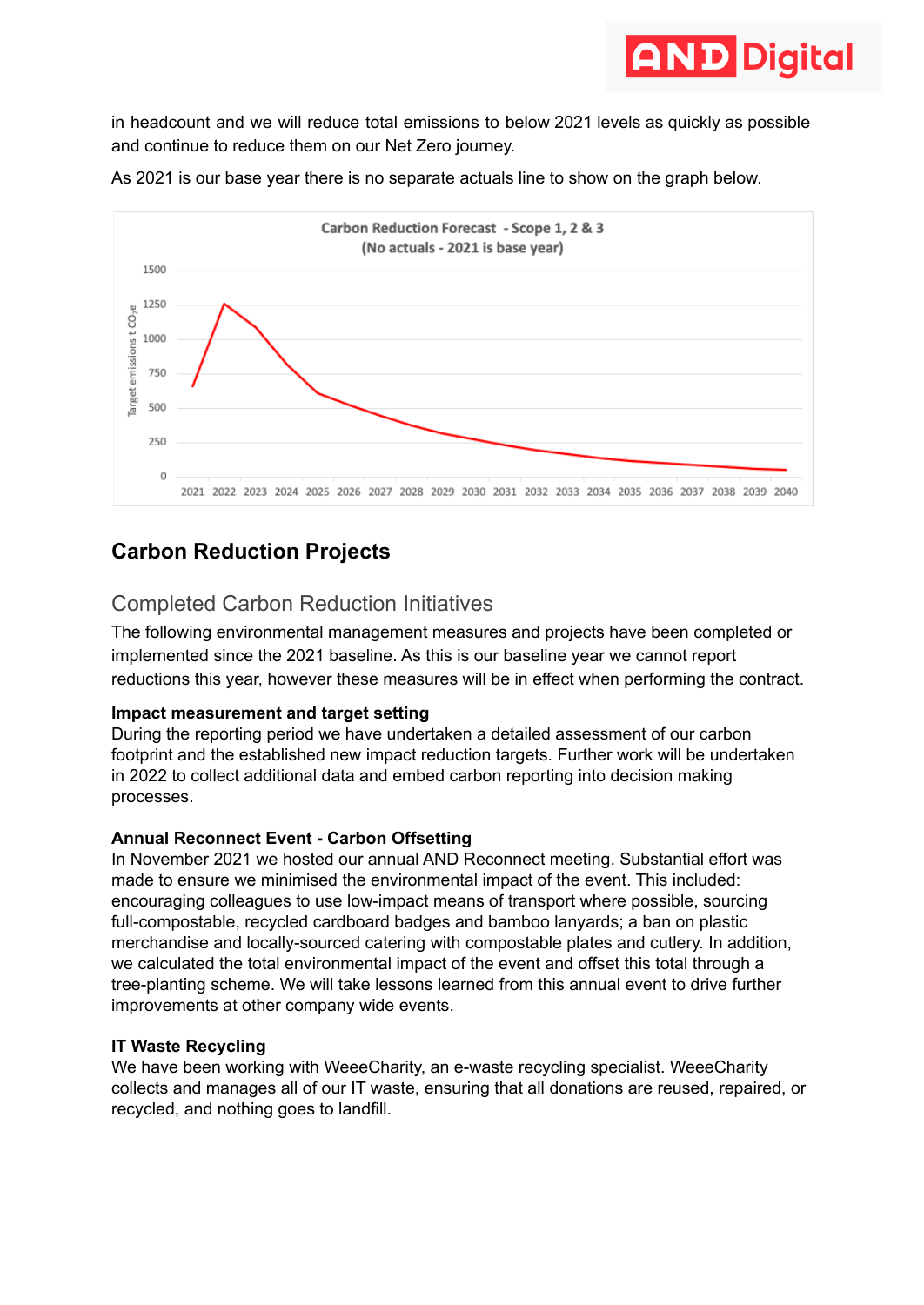

in headcount and we will reduce total emissions to below 2021 levels as quickly as possible and continue to reduce them on our Net Zero journey.





## **Carbon Reduction Projects**

## Completed Carbon Reduction Initiatives

The following environmental management measures and projects have been completed or implemented since the 2021 baseline. As this is our baseline year we cannot report reductions this year, however these measures will be in effect when performing the contract.

#### **Impact measurement and target setting**

During the reporting period we have undertaken a detailed assessment of our carbon footprint and the established new impact reduction targets. Further work will be undertaken in 2022 to collect additional data and embed carbon reporting into decision making processes.

#### **Annual Reconnect Event - Carbon Offsetting**

In November 2021 we hosted our annual AND Reconnect meeting. Substantial effort was made to ensure we minimised the environmental impact of the event. This included: encouraging colleagues to use low-impact means of transport where possible, sourcing full-compostable, recycled cardboard badges and bamboo lanyards; a ban on plastic merchandise and locally-sourced catering with compostable plates and cutlery. In addition, we calculated the total environmental impact of the event and offset this total through a tree-planting scheme. We will take lessons learned from this annual event to drive further improvements at other company wide events.

#### **IT Waste Recycling**

We have been working with WeeeCharity, an e-waste recycling specialist. WeeeCharity collects and manages all of our IT waste, ensuring that all donations are reused, repaired, or recycled, and nothing goes to landfill.